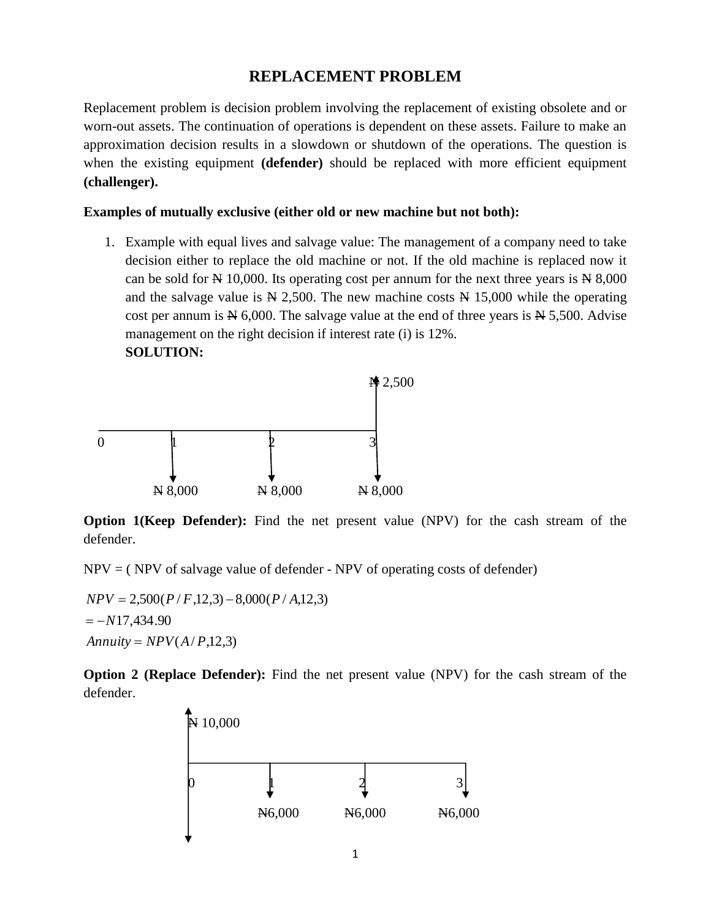## **REPLACEMENT PROBLEM**

Replacement problem is decision problem involving the replacement of existing obsolete and or worn-out assets. The continuation of operations is dependent on these assets. Failure to make an approximation decision results in a slowdown or shutdown of the operations. The question is when the existing equipment **(defender)** should be replaced with more efficient equipment **(challenger).**

## **Examples of mutually exclusive (either old or new machine but not both):**

1. Example with equal lives and salvage value: The management of a company need to take decision either to replace the old machine or not. If the old machine is replaced now it can be sold for  $N \neq 10,000$ . Its operating cost per annum for the next three years is  $N \neq 8,000$ and the salvage value is  $N = 2,500$ . The new machine costs  $N = 15,000$  while the operating cost per annum is  $N_{0,000}$ . The salvage value at the end of three years is  $N_{0,000}$ . Advise management on the right decision if interest rate (i) is 12%. **SOLUTION:**



**Option 1(Keep Defender):** Find the net present value (NPV) for the cash stream of the defender.

 $NPV = (NPV of salvage value of defender - NPV of operating costs of defender)$ 

 $\text{Annuity} = \text{NPV}(A/P, 12, 3)$  $=-N17,434.90$  $NPV = 2,500(P/F,12,3) - 8,000(P/A,12,3)$ 

**Option 2 (Replace Defender):** Find the net present value (NPV) for the cash stream of the defender.